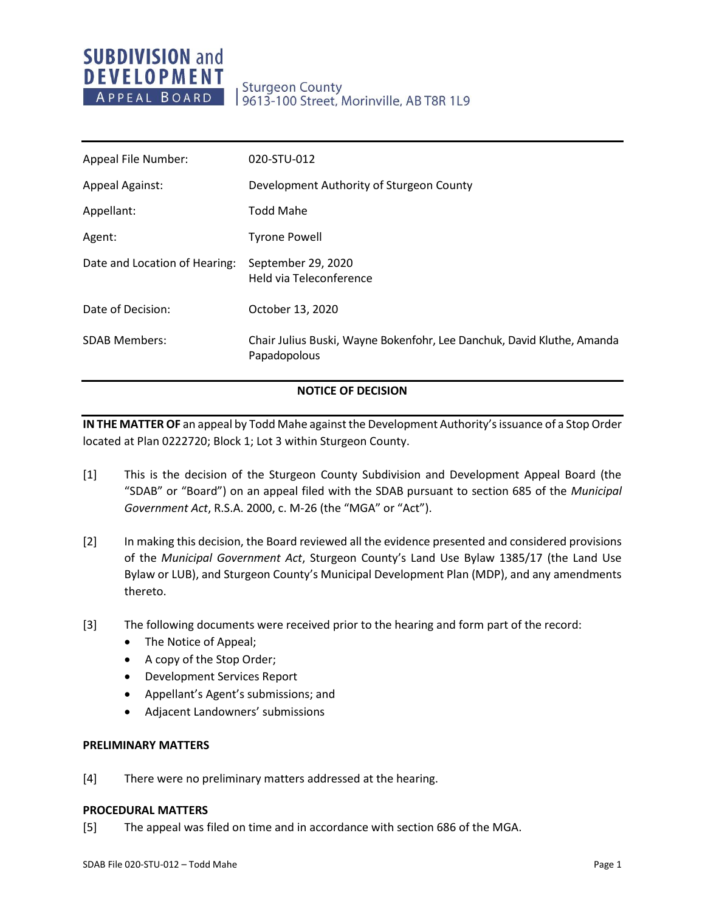# **SUBDIVISION and DEVELOPMENT** APPEAL BOARD

# **Sturgeon County** 9613-100 Street, Morinville, AB T8R 1L9

| Appeal File Number:           | 020-STU-012                                                                            |
|-------------------------------|----------------------------------------------------------------------------------------|
| <b>Appeal Against:</b>        | Development Authority of Sturgeon County                                               |
| Appellant:                    | <b>Todd Mahe</b>                                                                       |
| Agent:                        | <b>Tyrone Powell</b>                                                                   |
| Date and Location of Hearing: | September 29, 2020<br>Held via Teleconference                                          |
| Date of Decision:             | October 13, 2020                                                                       |
| <b>SDAB Members:</b>          | Chair Julius Buski, Wayne Bokenfohr, Lee Danchuk, David Kluthe, Amanda<br>Papadopolous |

# **NOTICE OF DECISION**

**IN THE MATTER OF** an appeal by Todd Mahe against the Development Authority's issuance of a Stop Order located at Plan 0222720; Block 1; Lot 3 within Sturgeon County.

- [1] This is the decision of the Sturgeon County Subdivision and Development Appeal Board (the "SDAB" or "Board") on an appeal filed with the SDAB pursuant to section 685 of the *Municipal Government Act*, R.S.A. 2000, c. M-26 (the "MGA" or "Act").
- [2] In making this decision, the Board reviewed all the evidence presented and considered provisions of the *Municipal Government Act*, Sturgeon County's Land Use Bylaw 1385/17 (the Land Use Bylaw or LUB), and Sturgeon County's Municipal Development Plan (MDP), and any amendments thereto.
- [3] The following documents were received prior to the hearing and form part of the record:
	- The Notice of Appeal;
	- A copy of the Stop Order;
	- Development Services Report
	- Appellant's Agent's submissions; and
	- Adjacent Landowners' submissions

# **PRELIMINARY MATTERS**

[4] There were no preliminary matters addressed at the hearing.

### **PROCEDURAL MATTERS**

[5] The appeal was filed on time and in accordance with section 686 of the MGA.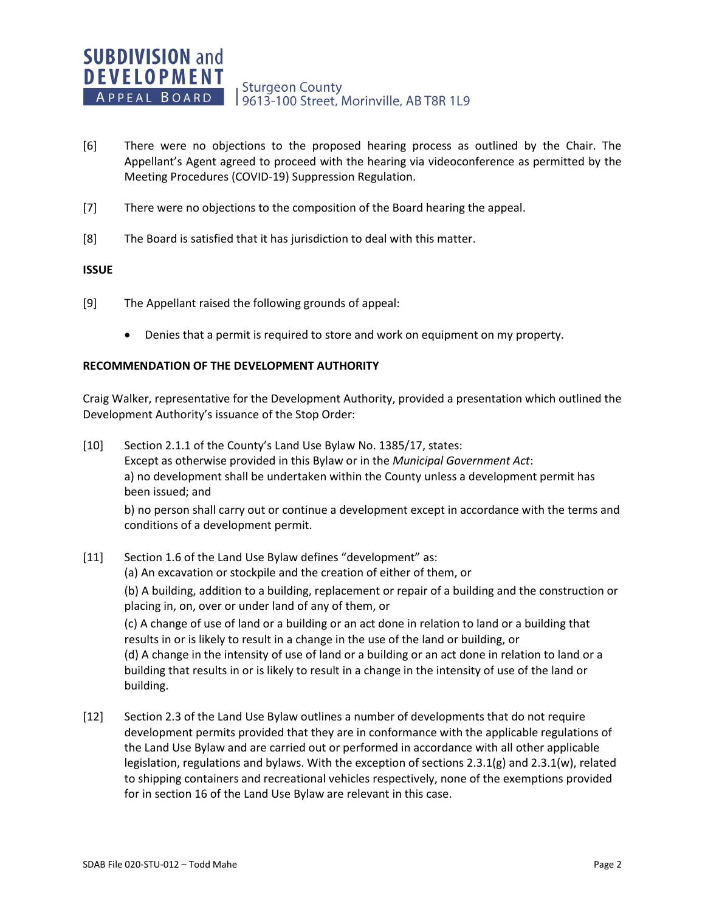- [6] There were no objections to the proposed hearing process as outlined by the Chair. The Appellant's Agent agreed to proceed with the hearing via videoconference as permitted by the Meeting Procedures (COVID-19) Suppression Regulation.
- [7] There were no objections to the composition of the Board hearing the appeal.
- [8] The Board is satisfied that it has jurisdiction to deal with this matter.

#### **ISSUE**

- [9] The Appellant raised the following grounds of appeal:
	- Denies that a permit is required to store and work on equipment on my property.

#### **RECOMMENDATION OF THE DEVELOPMENT AUTHORITY**

Craig Walker, representative for the Development Authority, provided a presentation which outlined the Development Authority's issuance of the Stop Order:

- [10] Section 2.1.1 of the County's Land Use Bylaw No. 1385/17, states: Except as otherwise provided in this Bylaw or in the *Municipal Government Act*: a) no development shall be undertaken within the County unless a development permit has been issued; and b) no person shall carry out or continue a development except in accordance with the terms and
	- conditions of a development permit.
- [11] Section 1.6 of the Land Use Bylaw defines "development" as: (a) An excavation or stockpile and the creation of either of them, or

(b) A building, addition to a building, replacement or repair of a building and the construction or placing in, on, over or under land of any of them, or

(c) A change of use of land or a building or an act done in relation to land or a building that results in or is likely to result in a change in the use of the land or building, or

(d) A change in the intensity of use of land or a building or an act done in relation to land or a building that results in or is likely to result in a change in the intensity of use of the land or building.

[12] Section 2.3 of the Land Use Bylaw outlines a number of developments that do not require development permits provided that they are in conformance with the applicable regulations of the Land Use Bylaw and are carried out or performed in accordance with all other applicable legislation, regulations and bylaws. With the exception of sections  $2.3.1(g)$  and  $2.3.1(w)$ , related to shipping containers and recreational vehicles respectively, none of the exemptions provided for in section 16 of the Land Use Bylaw are relevant in this case.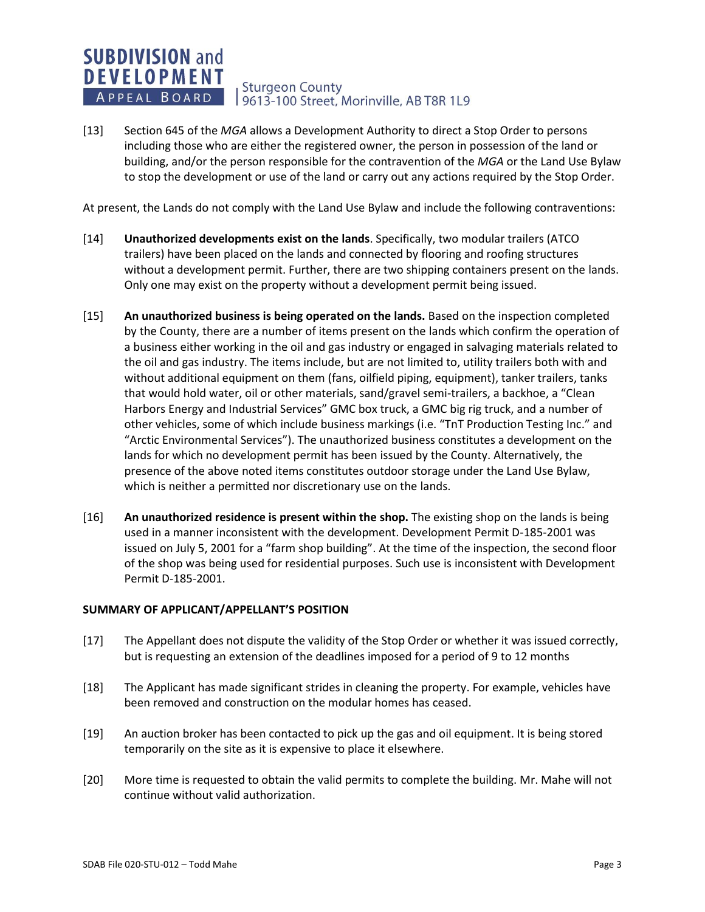#### **SUBDIVISION and DEVELOPMENT Sturgeon County** APPEAL BOARD 19613-100 Street, Morinville, AB T8R 1L9

[13] Section 645 of the *MGA* allows a Development Authority to direct a Stop Order to persons including those who are either the registered owner, the person in possession of the land or building, and/or the person responsible for the contravention of the *MGA* or the Land Use Bylaw to stop the development or use of the land or carry out any actions required by the Stop Order.

At present, the Lands do not comply with the Land Use Bylaw and include the following contraventions:

- [14] **Unauthorized developments exist on the lands**. Specifically, two modular trailers (ATCO trailers) have been placed on the lands and connected by flooring and roofing structures without a development permit. Further, there are two shipping containers present on the lands. Only one may exist on the property without a development permit being issued.
- [15] **An unauthorized business is being operated on the lands.** Based on the inspection completed by the County, there are a number of items present on the lands which confirm the operation of a business either working in the oil and gas industry or engaged in salvaging materials related to the oil and gas industry. The items include, but are not limited to, utility trailers both with and without additional equipment on them (fans, oilfield piping, equipment), tanker trailers, tanks that would hold water, oil or other materials, sand/gravel semi-trailers, a backhoe, a "Clean Harbors Energy and Industrial Services" GMC box truck, a GMC big rig truck, and a number of other vehicles, some of which include business markings (i.e. "TnT Production Testing Inc." and "Arctic Environmental Services"). The unauthorized business constitutes a development on the lands for which no development permit has been issued by the County. Alternatively, the presence of the above noted items constitutes outdoor storage under the Land Use Bylaw, which is neither a permitted nor discretionary use on the lands.
- [16] **An unauthorized residence is present within the shop.** The existing shop on the lands is being used in a manner inconsistent with the development. Development Permit D-185-2001 was issued on July 5, 2001 for a "farm shop building". At the time of the inspection, the second floor of the shop was being used for residential purposes. Such use is inconsistent with Development Permit D-185-2001.

# **SUMMARY OF APPLICANT/APPELLANT'S POSITION**

- [17] The Appellant does not dispute the validity of the Stop Order or whether it was issued correctly, but is requesting an extension of the deadlines imposed for a period of 9 to 12 months
- [18] The Applicant has made significant strides in cleaning the property. For example, vehicles have been removed and construction on the modular homes has ceased.
- [19] An auction broker has been contacted to pick up the gas and oil equipment. It is being stored temporarily on the site as it is expensive to place it elsewhere.
- [20] More time is requested to obtain the valid permits to complete the building. Mr. Mahe will not continue without valid authorization.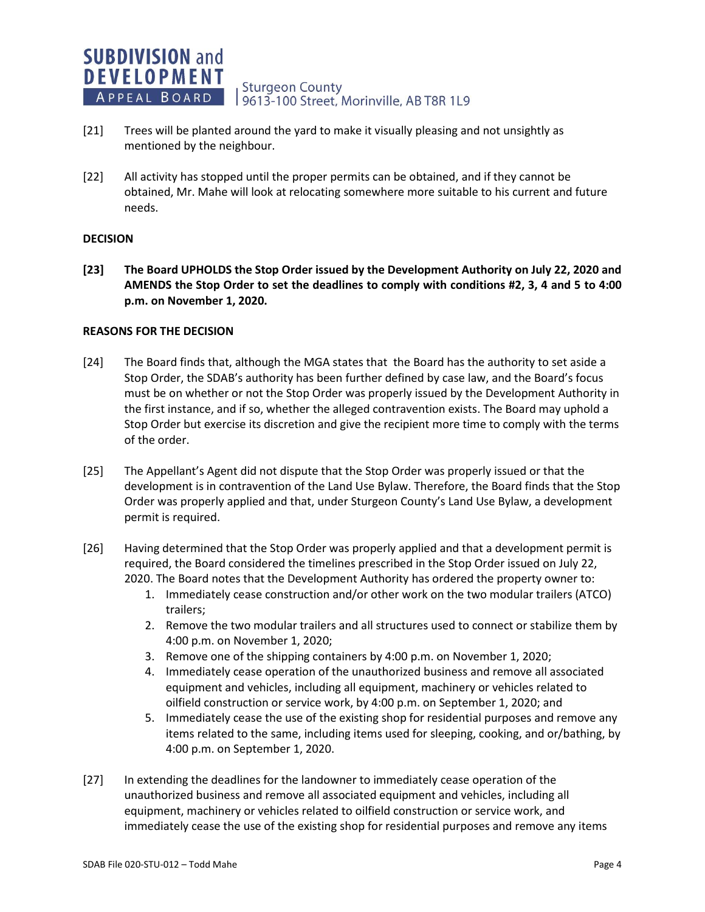

- [21] Trees will be planted around the yard to make it visually pleasing and not unsightly as mentioned by the neighbour.
- [22] All activity has stopped until the proper permits can be obtained, and if they cannot be obtained, Mr. Mahe will look at relocating somewhere more suitable to his current and future needs.

# **DECISION**

**[23] The Board UPHOLDS the Stop Order issued by the Development Authority on July 22, 2020 and AMENDS the Stop Order to set the deadlines to comply with conditions #2, 3, 4 and 5 to 4:00 p.m. on November 1, 2020.**

#### **REASONS FOR THE DECISION**

- [24] The Board finds that, although the MGA states that the Board has the authority to set aside a Stop Order, the SDAB's authority has been further defined by case law, and the Board's focus must be on whether or not the Stop Order was properly issued by the Development Authority in the first instance, and if so, whether the alleged contravention exists. The Board may uphold a Stop Order but exercise its discretion and give the recipient more time to comply with the terms of the order.
- [25] The Appellant's Agent did not dispute that the Stop Order was properly issued or that the development is in contravention of the Land Use Bylaw. Therefore, the Board finds that the Stop Order was properly applied and that, under Sturgeon County's Land Use Bylaw, a development permit is required.
- [26] Having determined that the Stop Order was properly applied and that a development permit is required, the Board considered the timelines prescribed in the Stop Order issued on July 22, 2020. The Board notes that the Development Authority has ordered the property owner to:
	- 1. Immediately cease construction and/or other work on the two modular trailers (ATCO) trailers;
	- 2. Remove the two modular trailers and all structures used to connect or stabilize them by 4:00 p.m. on November 1, 2020;
	- 3. Remove one of the shipping containers by 4:00 p.m. on November 1, 2020;
	- 4. Immediately cease operation of the unauthorized business and remove all associated equipment and vehicles, including all equipment, machinery or vehicles related to oilfield construction or service work, by 4:00 p.m. on September 1, 2020; and
	- 5. Immediately cease the use of the existing shop for residential purposes and remove any items related to the same, including items used for sleeping, cooking, and or/bathing, by 4:00 p.m. on September 1, 2020.
- [27] In extending the deadlines for the landowner to immediately cease operation of the unauthorized business and remove all associated equipment and vehicles, including all equipment, machinery or vehicles related to oilfield construction or service work, and immediately cease the use of the existing shop for residential purposes and remove any items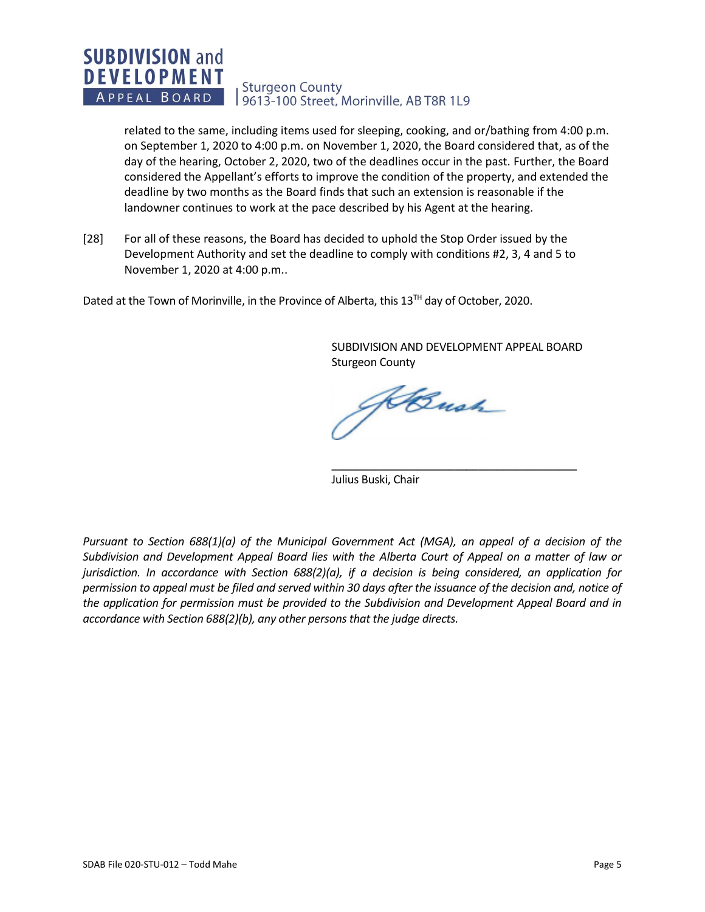#### **SUBDIVISION and DEVELOPMENT Sturgeon County** APPEAL BOARD 9613-100 Street, Morinville, AB T8R 1L9

related to the same, including items used for sleeping, cooking, and or/bathing from 4:00 p.m. on September 1, 2020 to 4:00 p.m. on November 1, 2020, the Board considered that, as of the day of the hearing, October 2, 2020, two of the deadlines occur in the past. Further, the Board considered the Appellant's efforts to improve the condition of the property, and extended the deadline by two months as the Board finds that such an extension is reasonable if the landowner continues to work at the pace described by his Agent at the hearing.

[28] For all of these reasons, the Board has decided to uphold the Stop Order issued by the Development Authority and set the deadline to comply with conditions #2, 3, 4 and 5 to November 1, 2020 at 4:00 p.m..

Dated at the Town of Morinville, in the Province of Alberta, this  $13^{Th}$  day of October, 2020.

SUBDIVISION AND DEVELOPMENT APPEAL BOARD Sturgeon County

\_\_\_\_\_\_\_\_\_\_\_\_\_\_\_\_\_\_\_\_\_\_\_\_\_\_\_\_\_\_\_\_\_\_\_\_\_\_\_\_

Kansh

Julius Buski, Chair

*Pursuant to Section 688(1)(a) of the Municipal Government Act (MGA), an appeal of a decision of the Subdivision and Development Appeal Board lies with the Alberta Court of Appeal on a matter of law or jurisdiction. In accordance with Section 688(2)(a), if a decision is being considered, an application for permission to appeal must be filed and served within 30 days after the issuance of the decision and, notice of the application for permission must be provided to the Subdivision and Development Appeal Board and in accordance with Section 688(2)(b), any other persons that the judge directs.*